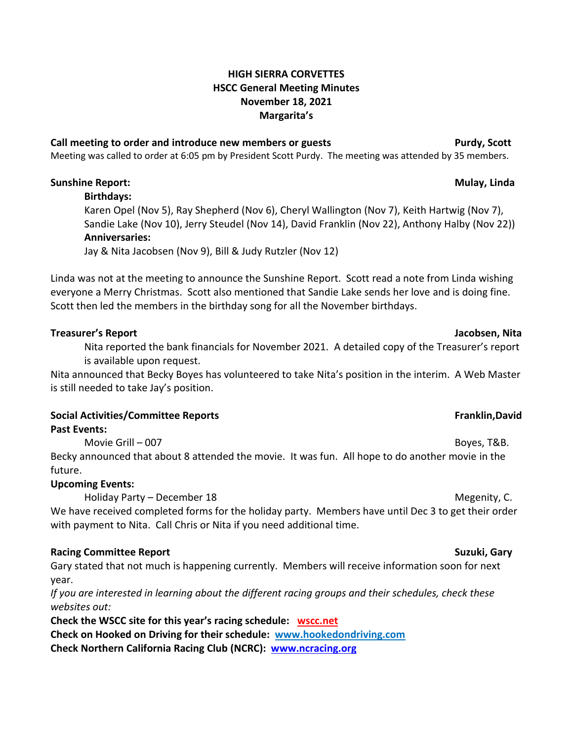## **HIGH SIERRA CORVETTES HSCC General Meeting Minutes November 18, 2021 Margarita's**

## **Call meeting to order and introduce new members or guests Purdy, Scott**

Meeting was called to order at 6:05 pm by President Scott Purdy. The meeting was attended by 35 members.

## **Sunshine Report: Mulay, Linda**

**Birthdays:**

Karen Opel (Nov 5), Ray Shepherd (Nov 6), Cheryl Wallington (Nov 7), Keith Hartwig (Nov 7), Sandie Lake (Nov 10), Jerry Steudel (Nov 14), David Franklin (Nov 22), Anthony Halby (Nov 22)) **Anniversaries:**

Jay & Nita Jacobsen (Nov 9), Bill & Judy Rutzler (Nov 12)

Linda was not at the meeting to announce the Sunshine Report. Scott read a note from Linda wishing everyone a Merry Christmas. Scott also mentioned that Sandie Lake sends her love and is doing fine. Scott then led the members in the birthday song for all the November birthdays.

## **Treasurer's Report Jacobsen, Nita**

Nita reported the bank financials for November 2021. A detailed copy of the Treasurer's report is available upon request.

Nita announced that Becky Boyes has volunteered to take Nita's position in the interim. A Web Master is still needed to take Jay's position.

## **Social Activities/Committee Reports Franklin,David**

**Past Events:**

Movie Grill – 007 **Boyes, T&B.** Becky announced that about 8 attended the movie. It was fun. All hope to do another movie in the future.

## **Upcoming Events:**

Holiday Party – December 18 Megenity, C.

We have received completed forms for the holiday party. Members have until Dec 3 to get their order with payment to Nita. Call Chris or Nita if you need additional time.

## **Racing Committee Report Suzuki, Gary**

Gary stated that not much is happening currently. Members will receive information soon for next year.

*If you are interested in learning about the different racing groups and their schedules, check these websites out:*

**Check the WSCC site for this year's racing schedule: [wscc.net](https://wscc.net/)**

**Check on Hooked on Driving for their schedule: [www.hookedondriving.com](http://www.hookedondriving.com/)**

**Check Northern California Racing Club (NCRC): [www.ncracing.org](http://www.ncracing.org/)**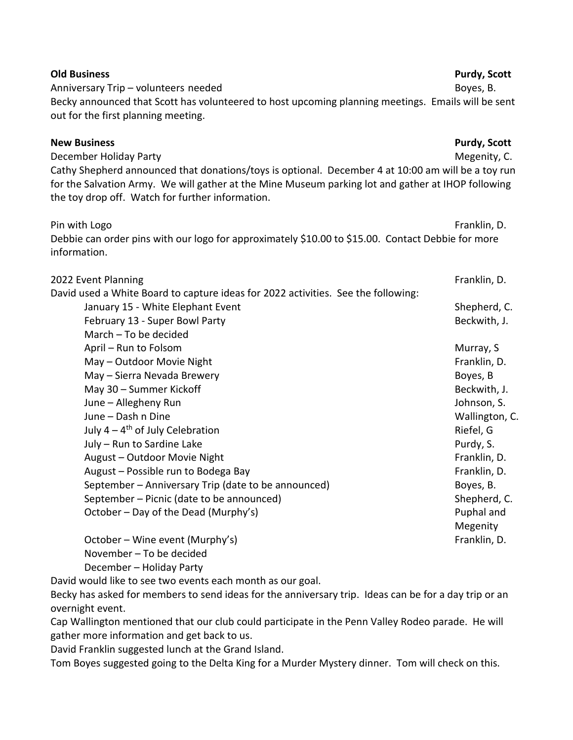| <b>Old Business</b>                                                                                                                                                                                                                                          | Purdy, Scott        |
|--------------------------------------------------------------------------------------------------------------------------------------------------------------------------------------------------------------------------------------------------------------|---------------------|
| Anniversary Trip - volunteers needed<br>Becky announced that Scott has volunteered to host upcoming planning meetings. Emails will be sent                                                                                                                   | Boyes, B.           |
| out for the first planning meeting.                                                                                                                                                                                                                          |                     |
| <b>New Business</b>                                                                                                                                                                                                                                          | <b>Purdy, Scott</b> |
| December Holiday Party                                                                                                                                                                                                                                       | Megenity, C.        |
| Cathy Shepherd announced that donations/toys is optional. December 4 at 10:00 am will be a toy run<br>for the Salvation Army. We will gather at the Mine Museum parking lot and gather at IHOP following<br>the toy drop off. Watch for further information. |                     |
| Pin with Logo                                                                                                                                                                                                                                                | Franklin, D.        |
| Debbie can order pins with our logo for approximately \$10.00 to \$15.00. Contact Debbie for more<br>information.                                                                                                                                            |                     |
| 2022 Event Planning                                                                                                                                                                                                                                          | Franklin, D.        |
| David used a White Board to capture ideas for 2022 activities. See the following:                                                                                                                                                                            |                     |
| January 15 - White Elephant Event                                                                                                                                                                                                                            | Shepherd, C.        |
| February 13 - Super Bowl Party                                                                                                                                                                                                                               | Beckwith, J.        |
| March - To be decided                                                                                                                                                                                                                                        |                     |
| April - Run to Folsom                                                                                                                                                                                                                                        | Murray, S           |
| May - Outdoor Movie Night                                                                                                                                                                                                                                    | Franklin, D.        |
| May - Sierra Nevada Brewery                                                                                                                                                                                                                                  | Boyes, B            |
| May 30 - Summer Kickoff                                                                                                                                                                                                                                      | Beckwith, J.        |
| June - Allegheny Run                                                                                                                                                                                                                                         | Johnson, S.         |
| June - Dash n Dine                                                                                                                                                                                                                                           | Wallington, C.      |
| July $4 - 4$ <sup>th</sup> of July Celebration                                                                                                                                                                                                               | Riefel, G           |
| July - Run to Sardine Lake                                                                                                                                                                                                                                   | Purdy, S.           |
| August - Outdoor Movie Night                                                                                                                                                                                                                                 | Franklin, D.        |
| August - Possible run to Bodega Bay                                                                                                                                                                                                                          | Franklin, D.        |
| September - Anniversary Trip (date to be announced)                                                                                                                                                                                                          | Boyes, B.           |
| September - Picnic (date to be announced)                                                                                                                                                                                                                    | Shepherd, C.        |
| October - Day of the Dead (Murphy's)                                                                                                                                                                                                                         | Puphal and          |
|                                                                                                                                                                                                                                                              | Megenity            |
| October - Wine event (Murphy's)                                                                                                                                                                                                                              | Franklin, D.        |
| November - To be decided                                                                                                                                                                                                                                     |                     |
| December - Holiday Party                                                                                                                                                                                                                                     |                     |
| David would like to see two events each month as our goal.<br>وعارضهم ومجاول المشط بسمعه وينشرون وعاطسه ومجاوز اوعدها وحاصره والمستحير والمستحدث                                                                                                             |                     |

Becky has asked for members to send ideas for the anniversary trip. Ideas can be for a day trip or an overnight event.

Cap Wallington mentioned that our club could participate in the Penn Valley Rodeo parade. He will gather more information and get back to us.

David Franklin suggested lunch at the Grand Island.

Tom Boyes suggested going to the Delta King for a Murder Mystery dinner. Tom will check on this.